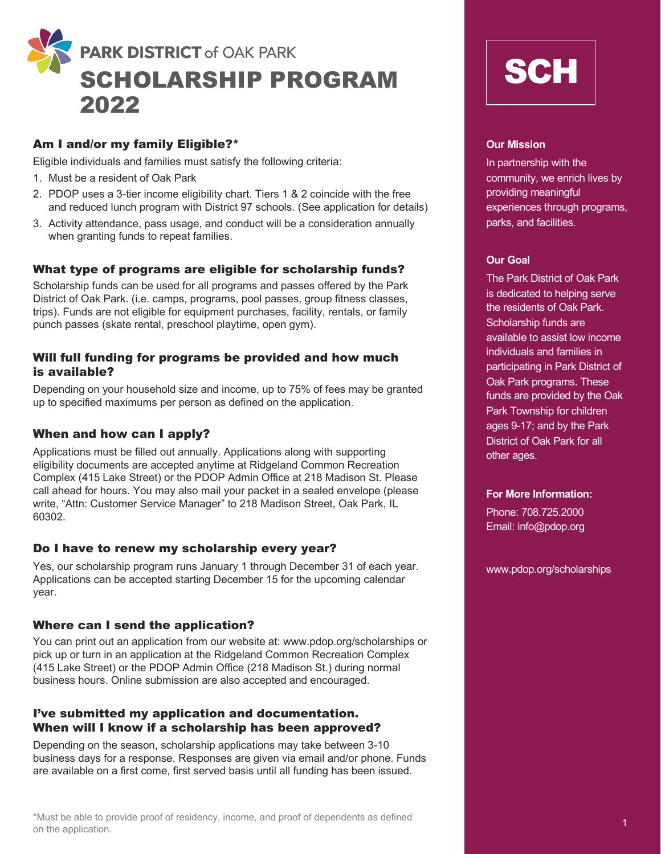

# Am I and/or my family Eligible?\*

Eligible individuals and families must satisfy the following criteria:

- 1. Must be a resident of Oak Park
- 2. PDOP uses a 3-tier income eligibility chart. Tiers 1 & 2 coincide with the free and reduced lunch program with District 97 schools. (See application for details)
- 3. Activity attendance, pass usage, and conduct will be a consideration annually when granting funds to repeat families.

## What type of programs are eligible for scholarship funds?

Scholarship funds can be used for all programs and passes offered by the Park District of Oak Park. (i.e. camps, programs, pool passes, group fitness classes, trips). Funds are not eligible for equipment purchases, facility, rentals, or family punch passes (skate rental, preschool playtime, open gym).

## Will full funding for programs be provided and how much is available?

Depending on your household size and income, up to 75% of fees may be granted up to specified maximums per person as defined on the application.

## When and how can I apply?

Applications must be filled out annually. Applications along with supporting eligibility documents are accepted anytime at Ridgeland Common Recreation Complex (415 Lake Street) or the PDOP Admin Office at 218 Madison St. Please call ahead for hours. You may also mail your packet in a sealed envelope (please write, "Attn: Customer Service Manager" to 218 Madison Street, Oak Park, IL 60302.

## Do I have to renew my scholarship every year?

Yes, our scholarship program runs January 1 through December 31 of each year. Applications can be accepted starting December 15 for the upcoming calendar year.

## Where can I send the application?

You can print out an application from our website at: www.pdop.org/scholarships or pick up or turn in an application at the Ridgeland Common Recreation Complex (415 Lake Street) or the PDOP Admin Office (218 Madison St.) during normal business hours. Online submission are also accepted and encouraged.

## I've submitted my application and documentation. When will I know if a scholarship has been approved?

Depending on the season, scholarship applications may take between 3-10 business days for a response. Responses are given via email and/or phone. Funds are available on a first come, first served basis until all funding has been issued.



## **Our Mission**

In partnership with the community, we enrich lives by providing meaningful experiences through programs, parks, and facilities.

## **Our Goal**

The Park District of Oak Park is dedicated to helping serve the residents of Oak Park. Scholarship funds are available to assist low income individuals and families in participating in Park District of Oak Park programs. These funds are provided by the Oak Park Township for children ages 9-17; and by the Park District of Oak Park for all other ages.

#### **For More Information:**

Phone: 708.725.2000 Email: info@pdop.org

www.pdop.org/scholarships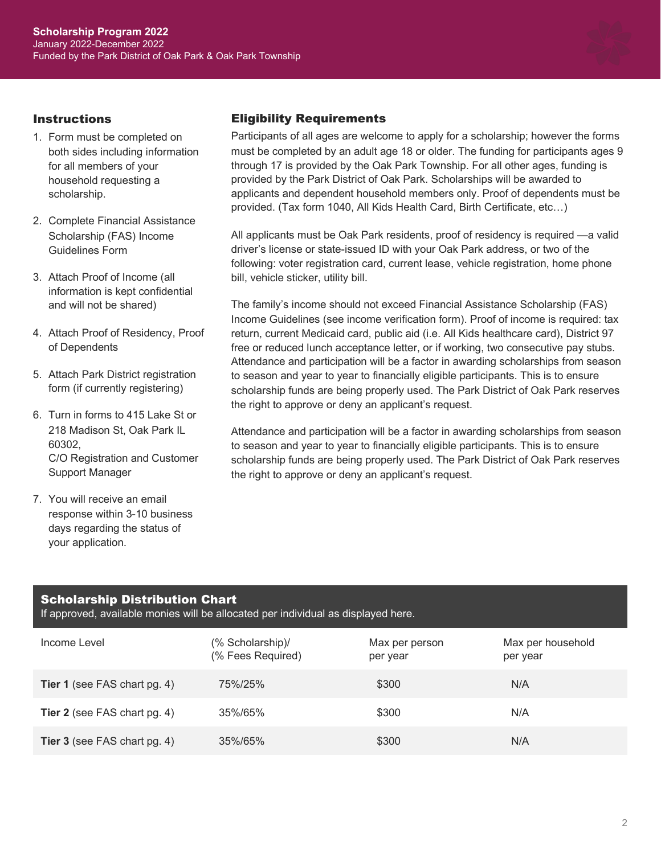

## **Instructions**

- 1. Form must be completed on both sides including information for all members of your household requesting a scholarship.
- 2. Complete Financial Assistance Scholarship (FAS) Income Guidelines Form
- 3. Attach Proof of Income (all information is kept confidential and will not be shared)
- 4. Attach Proof of Residency, Proof of Dependents
- 5. Attach Park District registration form (if currently registering)
- 6. Turn in forms to 415 Lake St or 218 Madison St, Oak Park IL 60302, C/O Registration and Customer Support Manager
- 7. You will receive an email response within 3-10 business days regarding the status of your application.

# Eligibility Requirements

Participants of all ages are welcome to apply for a scholarship; however the forms must be completed by an adult age 18 or older. The funding for participants ages 9 through 17 is provided by the Oak Park Township. For all other ages, funding is provided by the Park District of Oak Park. Scholarships will be awarded to applicants and dependent household members only. Proof of dependents must be provided. (Tax form 1040, All Kids Health Card, Birth Certificate, etc…)

All applicants must be Oak Park residents, proof of residency is required —a valid driver's license or state-issued ID with your Oak Park address, or two of the following: voter registration card, current lease, vehicle registration, home phone bill, vehicle sticker, utility bill.

The family's income should not exceed Financial Assistance Scholarship (FAS) Income Guidelines (see income verification form). Proof of income is required: tax return, current Medicaid card, public aid (i.e. All Kids healthcare card), District 97 free or reduced lunch acceptance letter, or if working, two consecutive pay stubs. Attendance and participation will be a factor in awarding scholarships from season to season and year to year to financially eligible participants. This is to ensure scholarship funds are being properly used. The Park District of Oak Park reserves the right to approve or deny an applicant's request.

Attendance and participation will be a factor in awarding scholarships from season to season and year to year to financially eligible participants. This is to ensure scholarship funds are being properly used. The Park District of Oak Park reserves the right to approve or deny an applicant's request.

# Scholarship Distribution Chart

If approved, available monies will be allocated per individual as displayed here.

| Income Level                        | (% Scholarship)/<br>(% Fees Required) | Max per person<br>per year | Max per household<br>per year |
|-------------------------------------|---------------------------------------|----------------------------|-------------------------------|
| <b>Tier 1</b> (see FAS chart pg. 4) | 75%/25%                               | \$300                      | N/A                           |
| <b>Tier 2</b> (see FAS chart pg. 4) | 35%/65%                               | \$300                      | N/A                           |
| <b>Tier 3</b> (see FAS chart pg. 4) | 35%/65%                               | \$300                      | N/A                           |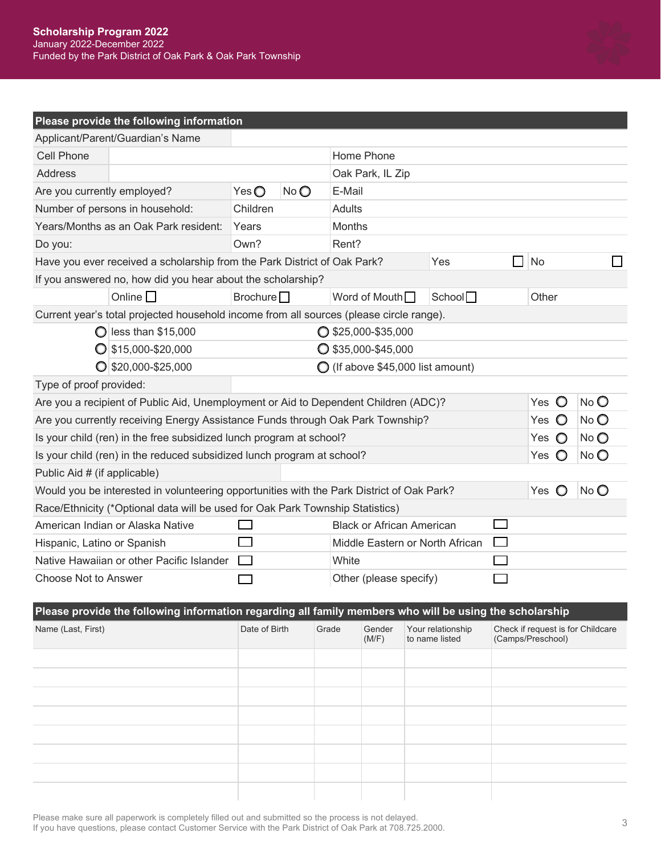

# **Please provide the following information**

| Applicant/Parent/Guardian's Name                                                          |                              |     |                                            |                     |                |                |      |
|-------------------------------------------------------------------------------------------|------------------------------|-----|--------------------------------------------|---------------------|----------------|----------------|------|
| Cell Phone                                                                                |                              |     | Home Phone                                 |                     |                |                |      |
| Address                                                                                   |                              |     | Oak Park, IL Zip                           |                     |                |                |      |
| Are you currently employed?                                                               | $Yes$ $\bigcirc$             | NoO | E-Mail                                     |                     |                |                |      |
| Number of persons in household:                                                           | Children                     |     | Adults                                     |                     |                |                |      |
| Years/Months as an Oak Park resident:                                                     | Years                        |     | <b>Months</b>                              |                     |                |                |      |
| Do you:                                                                                   | Own?                         |     | Rent?                                      |                     |                |                |      |
| Have you ever received a scholarship from the Park District of Oak Park?                  |                              |     |                                            | Yes                 | H              | <b>No</b>      |      |
| If you answered no, how did you hear about the scholarship?                               |                              |     |                                            |                     |                |                |      |
| Online $\Box$                                                                             | Brochure $\Box$              |     | Word of Mouth $\Box$                       | School <sup>1</sup> |                | Other          |      |
| Current year's total projected household income from all sources (please circle range).   |                              |     |                                            |                     |                |                |      |
| $\bigcirc$ less than \$15,000                                                             |                              |     | $\bigcirc$ \$25,000-\$35,000               |                     |                |                |      |
| $\bigcirc$ \$15,000-\$20,000                                                              | $\bigcirc$ \$35,000-\$45,000 |     |                                            |                     |                |                |      |
| $\bigcirc$ \$20,000-\$25,000                                                              |                              |     | $\bigcirc$ (If above \$45,000 list amount) |                     |                |                |      |
| Type of proof provided:                                                                   |                              |     |                                            |                     |                |                |      |
| Are you a recipient of Public Aid, Unemployment or Aid to Dependent Children (ADC)?       |                              |     |                                            | O<br>Yes            | $No$ $O$       |                |      |
| Are you currently receiving Energy Assistance Funds through Oak Park Township?            |                              |     |                                            |                     | $\circ$<br>Yes | No O           |      |
| Is your child (ren) in the free subsidized lunch program at school?                       |                              |     |                                            |                     | $\circ$<br>Yes | $No$ $O$       |      |
| Is your child (ren) in the reduced subsidized lunch program at school?                    |                              |     |                                            |                     | Yes<br>$\circ$ | $No$ $O$       |      |
| Public Aid # (if applicable)                                                              |                              |     |                                            |                     |                |                |      |
| Would you be interested in volunteering opportunities with the Park District of Oak Park? |                              |     |                                            |                     |                | Yes $\bigcirc$ | No O |
| Race/Ethnicity (*Optional data will be used for Oak Park Township Statistics)             |                              |     |                                            |                     |                |                |      |
| American Indian or Alaska Native                                                          |                              |     | <b>Black or African American</b>           |                     |                |                |      |
| Hispanic, Latino or Spanish                                                               |                              |     | Middle Eastern or North African            |                     |                |                |      |
| Native Hawaiian or other Pacific Islander                                                 |                              |     | White                                      |                     |                |                |      |
| Choose Not to Answer                                                                      |                              |     | Other (please specify)                     |                     |                |                |      |

#### **Please provide the following information regarding all family members who will be using the scholarship**

| Name (Last, First) | Date of Birth | Grade | Gender<br>(M/F) | Your relationship<br>to name listed | Check if request is for Childcare<br>(Camps/Preschool) |
|--------------------|---------------|-------|-----------------|-------------------------------------|--------------------------------------------------------|
|                    |               |       |                 |                                     |                                                        |
|                    |               |       |                 |                                     |                                                        |
|                    |               |       |                 |                                     |                                                        |
|                    |               |       |                 |                                     |                                                        |
|                    |               |       |                 |                                     |                                                        |
|                    |               |       |                 |                                     |                                                        |
|                    |               |       |                 |                                     |                                                        |
|                    |               |       |                 |                                     |                                                        |

Please make sure all paperwork is completely filled out and submitted so the process is not delayed. If you have questions, please contact Customer Service with the Park District of Oak Park at 708.725.2000. 3